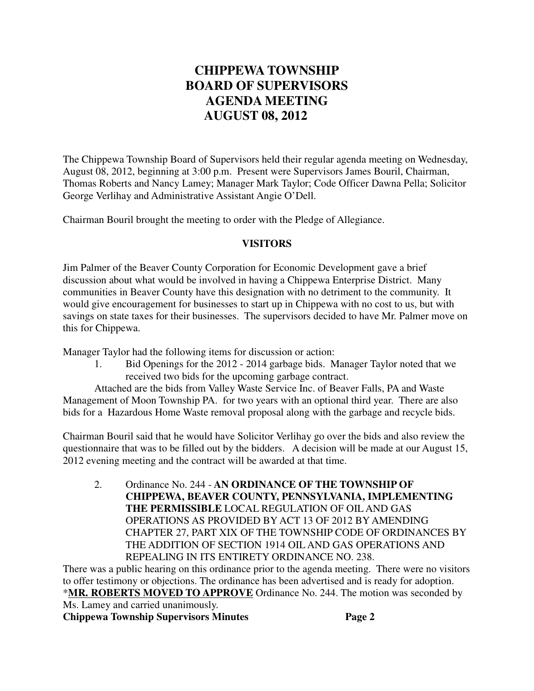## **CHIPPEWA TOWNSHIP BOARD OF SUPERVISORS AGENDA MEETING AUGUST 08, 2012**

The Chippewa Township Board of Supervisors held their regular agenda meeting on Wednesday, August 08, 2012, beginning at 3:00 p.m. Present were Supervisors James Bouril, Chairman, Thomas Roberts and Nancy Lamey; Manager Mark Taylor; Code Officer Dawna Pella; Solicitor George Verlihay and Administrative Assistant Angie O'Dell.

Chairman Bouril brought the meeting to order with the Pledge of Allegiance.

## **VISITORS**

Jim Palmer of the Beaver County Corporation for Economic Development gave a brief discussion about what would be involved in having a Chippewa Enterprise District. Many communities in Beaver County have this designation with no detriment to the community. It would give encouragement for businesses to start up in Chippewa with no cost to us, but with savings on state taxes for their businesses. The supervisors decided to have Mr. Palmer move on this for Chippewa.

Manager Taylor had the following items for discussion or action:

1. Bid Openings for the 2012 - 2014 garbage bids. Manager Taylor noted that we received two bids for the upcoming garbage contract.

Attached are the bids from Valley Waste Service Inc. of Beaver Falls, PA and Waste Management of Moon Township PA. for two years with an optional third year. There are also bids for a Hazardous Home Waste removal proposal along with the garbage and recycle bids.

Chairman Bouril said that he would have Solicitor Verlihay go over the bids and also review the questionnaire that was to be filled out by the bidders. A decision will be made at our August 15, 2012 evening meeting and the contract will be awarded at that time.

2. Ordinance No. 244 - **AN ORDINANCE OF THE TOWNSHIP OF CHIPPEWA, BEAVER COUNTY, PENNSYLVANIA, IMPLEMENTING THE PERMISSIBLE** LOCAL REGULATION OF OIL AND GAS OPERATIONS AS PROVIDED BY ACT 13 OF 2012 BY AMENDING CHAPTER 27, PART XIX OF THE TOWNSHIP CODE OF ORDINANCES BY THE ADDITION OF SECTION 1914 OIL AND GAS OPERATIONS AND REPEALING IN ITS ENTIRETY ORDINANCE NO. 238.

There was a public hearing on this ordinance prior to the agenda meeting. There were no visitors to offer testimony or objections. The ordinance has been advertised and is ready for adoption. \***MR. ROBERTS MOVED TO APPROVE** Ordinance No. 244. The motion was seconded by Ms. Lamey and carried unanimously.

**Chippewa Township Supervisors Minutes Page 2**